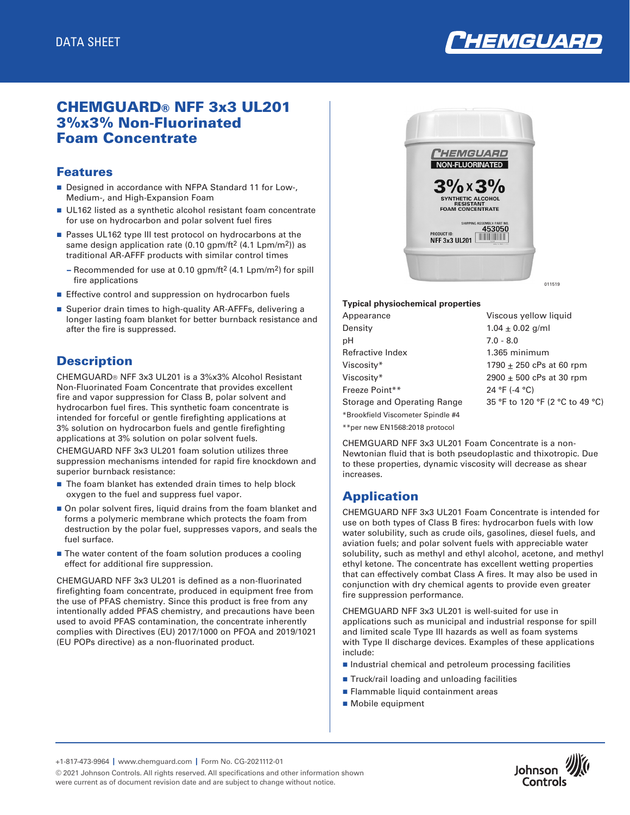

# CHEMGUARD® NFF 3x3 UL201 3%x3% Non-Fluorinated Foam Concentrate

### Features

- Designed in accordance with NFPA Standard 11 for Low-, Medium-, and High-Expansion Foam
- UL162 listed as a synthetic alcohol resistant foam concentrate for use on hydrocarbon and polar solvent fuel fires
- Passes UL162 type III test protocol on hydrocarbons at the same design application rate (0.10 gpm/ft<sup>2</sup> (4.1 Lpm/m<sup>2</sup>)) as traditional AR-AFFF products with similar control times
	- Recommended for use at 0.10 gpm/ft<sup>2</sup> (4.1 Lpm/m<sup>2</sup>) for spill fire applications
- **Effective control and suppression on hydrocarbon fuels**
- Superior drain times to high-quality AR-AFFFs, delivering a longer lasting foam blanket for better burnback resistance and after the fire is suppressed.

## **Description**

CHEMGUARD® NFF 3x3 UL201 is a 3%x3% Alcohol Resistant Non-Fluorinated Foam Concentrate that provides excellent fire and vapor suppression for Class B, polar solvent and hydrocarbon fuel fires. This synthetic foam concentrate is intended for forceful or gentle firefighting applications at 3% solution on hydrocarbon fuels and gentle firefighting applications at 3% solution on polar solvent fuels.

CHEMGUARD NFF 3x3 UL201 foam solution utilizes three suppression mechanisms intended for rapid fire knockdown and superior burnback resistance:

- $\blacksquare$  The foam blanket has extended drain times to help block oxygen to the fuel and suppress fuel vapor.
- On polar solvent fires, liquid drains from the foam blanket and forms a polymeric membrane which protects the foam from destruction by the polar fuel, suppresses vapors, and seals the fuel surface.
- $\blacksquare$  The water content of the foam solution produces a cooling effect for additional fire suppression.

CHEMGUARD NFF 3x3 UL201 is defined as a non-fluorinated firefighting foam concentrate, produced in equipment free from the use of PFAS chemistry. Since this product is free from any intentionally added PFAS chemistry, and precautions have been used to avoid PFAS contamination, the concentrate inherently complies with Directives (EU) 2017/1000 on PFOA and 2019/1021 (EU POPs directive) as a non-fluorinated product.



#### **Typical physiochemical properties**

| Appearance                        | Viscous yellow liquid           |
|-----------------------------------|---------------------------------|
| Density                           | $1.04 \pm 0.02$ g/ml            |
| pН                                | $7.0 - 8.0$                     |
| Refractive Index                  | 1.365 minimum                   |
| Viscosity*                        | 1790 $\pm$ 250 cPs at 60 rpm    |
| Viscosity*                        | 2900 $\pm$ 500 cPs at 30 rpm    |
| Freeze Point**                    | 24 °F (-4 °C)                   |
| Storage and Operating Range       | 35 °F to 120 °F (2 °C to 49 °C) |
| *Brookfield Viscometer Spindle #4 |                                 |
| **per new EN1568:2018 protocol    |                                 |

CHEMGUARD NFF 3x3 UL201 Foam Concentrate is a non-Newtonian fluid that is both pseudoplastic and thixotropic. Due to these properties, dynamic viscosity will decrease as shear increases.

# Application

CHEMGUARD NFF 3x3 UL201 Foam Concentrate is intended for use on both types of Class B fires: hydrocarbon fuels with low water solubility, such as crude oils, gasolines, diesel fuels, and aviation fuels; and polar solvent fuels with appreciable water solubility, such as methyl and ethyl alcohol, acetone, and methyl ethyl ketone. The concentrate has excellent wetting properties that can effectively combat Class A fires. It may also be used in conjunction with dry chemical agents to provide even greater fire suppression performance.

CHEMGUARD NFF 3x3 UL201 is well-suited for use in applications such as municipal and industrial response for spill and limited scale Type III hazards as well as foam systems with Type II discharge devices. Examples of these applications include:

- Industrial chemical and petroleum processing facilities
- Truck/rail loading and unloading facilities
- Flammable liquid containment areas
- Mobile equipment

+1-817-473-9964 **|** www.chemguard.com **|** Form No. CG-2021112-01

© 2021 Johnson Controls. All rights reserved. All specifications and other information shown were current as of document revision date and are subject to change without notice.